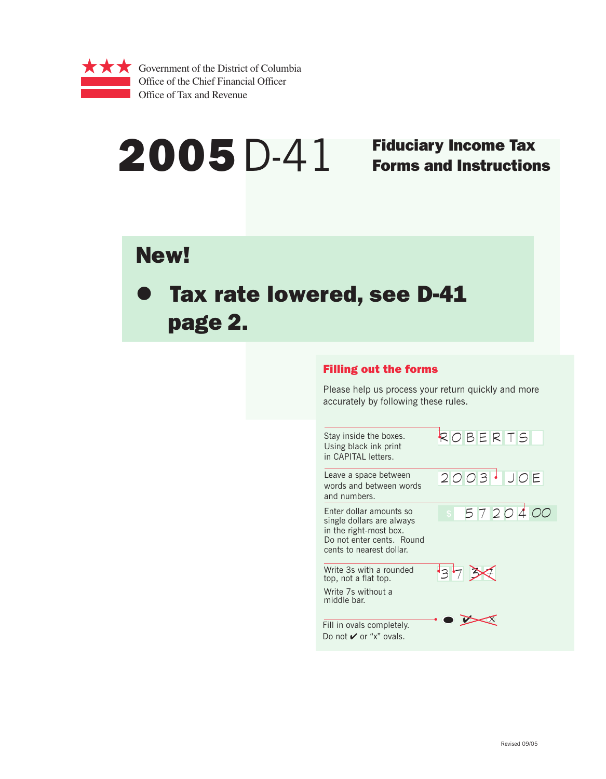

# $2005$   $D-41$  Fiduciary Income Tax

# Forms and Instructions

# New!

# Tax rate lowered, see D-41 page 2.

## Filling out the forms

Please help us process your return quickly and more accurately by following these rules.

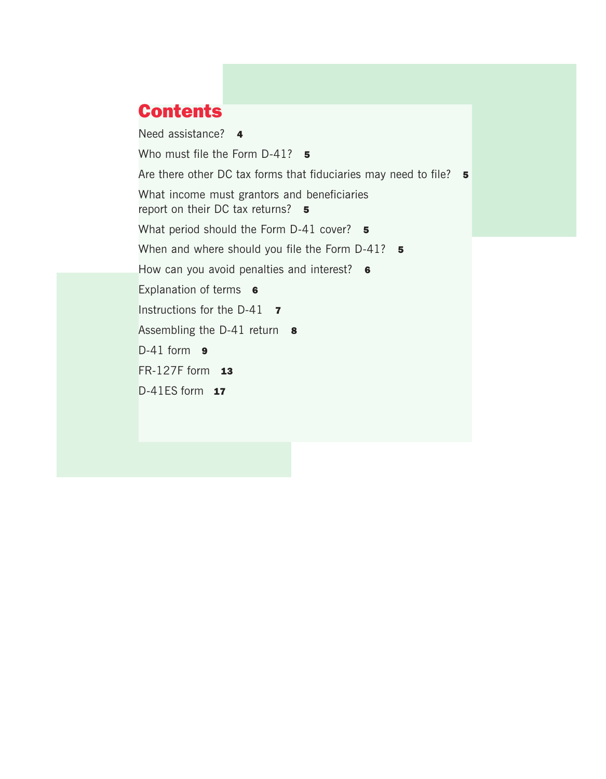# **Contents**

Need assistance? 4 Who must file the Form  $D-41$ ? 5 Are there other DC tax forms that fiduciaries may need to file? 5 What income must grantors and beneficiaries report on their DC tax returns? 5 What period should the Form D-41 cover? 5 When and where should you file the Form D-41? 5 How can you avoid penalties and interest? 6 Explanation of terms 6 Instructions for the D-41 **7** Assembling the D-41 return 8  $D-41$  form  $9$ FR-127F form  $13$  $D-41ES$  form  $17$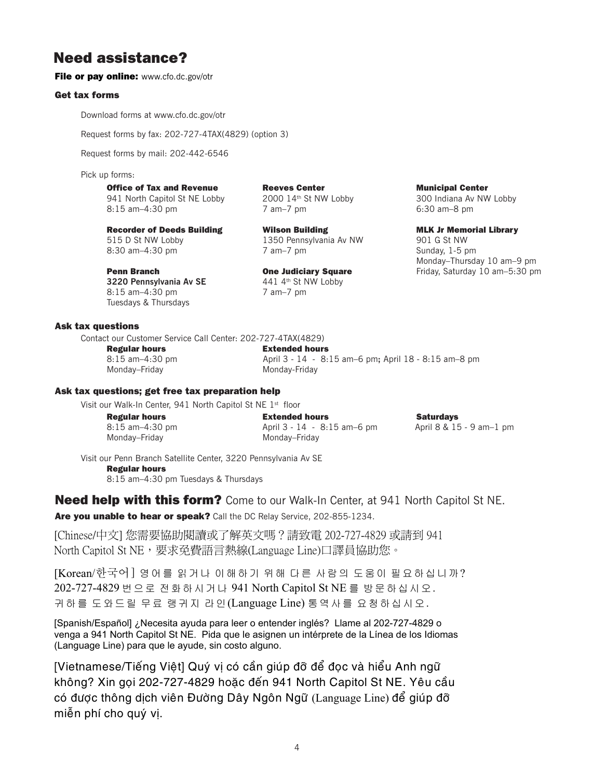## Need assistance?

#### File or pay online: www.cfo.dc.gov/otr

#### Get tax forms

Download forms at www.cfo.dc.gov/otr

Request forms by fax: 202-727-4TAX(4829) (option 3)

Request forms by mail: 202-442-6546

Pick up forms:

#### Office of Tax and Revenue **Reeves Center** Municipal Center

941 North Capitol St NE Lobby 2000 14th St NW Lobby 300 Indiana Av NW Lobby 8:15 am–4:30 pm 7 am–7 pm 6:30 am–8 pm

Recorder of Deeds Building **Millet Wilson Building MEX II MEX I**n MLK Jr Memorial Library 515 D St NW Lobby 1350 Pennsylvania Av NW 901 G St NW 8:30 am–4:30 pm 7 am–7 pm 7 am–7 pm Sunday, 1-5 pm

**3220 Pennsylvania Av SE** 441 4<sup>th</sup> St NW Lobby 8:15 am-4:30 pm 7 am-7 pm Tuesdays & Thursdays

Ask tax questions

Contact our Customer Service Call Center: 202-727-4TAX(4829)

Regular hours Extended hours Monday–Friday Monday-Friday

8:15 am–4:30 pm April 3 - 14 - 8:15 am–6 pm**;** April 18 - 8:15 am–8 pm

#### Ask tax questions; get free tax preparation help

Visit our Walk-In Center, 941 North Capitol St NE 1st floor

Regular hours Extended hours Saturdays 8:15 am–4:30 pm April 3 - 14 - 8:15 am–6 pm April 8 & 15 - 9 am–1 pm Monday–Friday Monday–Friday

Monday–Thursday 10 am–9 pm **Penn Branch Cone Judiciary Square** Friday, Saturday 10 am–5:30 pm

Visit our Penn Branch Satellite Center, 3220 Pennsylvania Av SE Regular hours 8:15 am–4:30 pm Tuesdays & Thursdays

## **Need help with this form?** Come to our Walk-In Center, at 941 North Capitol St NE.

Are you unable to hear or speak? Call the DC Relay Service, 202-855-1234.

[Chinese/中文] 您需要協助閱讀或了解英文嗎?請致電 202-727-4829 或請到 941 North Capitol St NE,要求免費語言熱線(Language Line)口譯員協助您。

[Korean/한국어] 영어를 읽거나 이해하기 위해 다른 사람의 도움이 필요하십니까? 202-727-4829 번으로 전화하시거나 941 North Capitol St NE 를 방문하십시오. 귀하를 도와드릴 무료 랭귀지 라인(Language Line) 통역사를 요청하십시오.

[Spanish/Español] ¿Necesita ayuda para leer o entender inglés? Llame al 202-727-4829 o venga a 941 North Capitol St NE. Pida que le asignen un intérprete de la Línea de los Idiomas (Language Line) para que le ayude, sin costo alguno.

có được thông dịch viên Đường Dây Ngôn Ngữ (Language Line) để giúp đỡ [Vietnamese/Tiếng Việt] Quý vị có cần giúp đỡ để đọc và hiểu Anh ngữ không? Xin goi 202-727-4829 hoăc đến 941 North Capitol St NE. Yêu cầu miễn phí cho quý vi.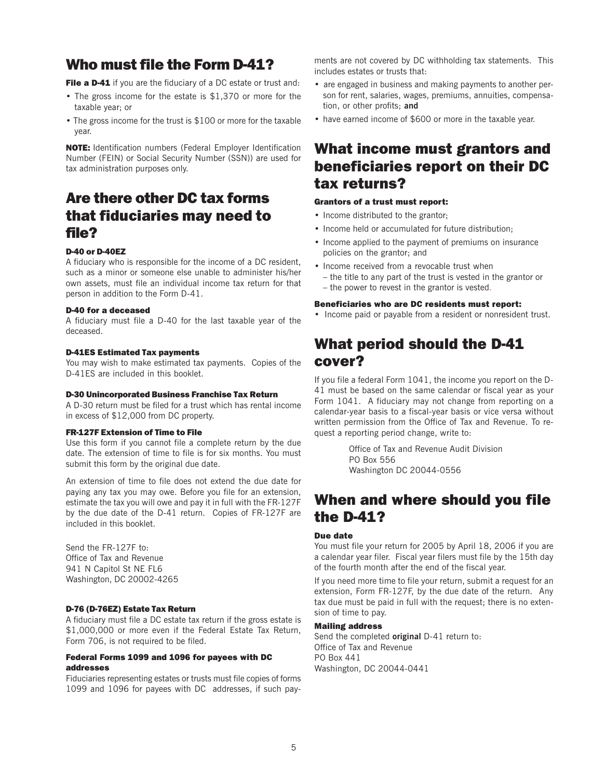## Who must file the Form D-41?

File a D-41 if you are the fiduciary of a DC estate or trust and:

- The gross income for the estate is \$1,370 or more for the taxable year; or
- The gross income for the trust is \$100 or more for the taxable year.

NOTE: Identification numbers (Federal Employer Identification Number (FEIN) or Social Security Number (SSN)) are used for tax administration purposes only.

## Are there other DC tax forms that fiduciaries may need to file?

#### D-40 or D-40EZ

A fiduciary who is responsible for the income of a DC resident, such as a minor or someone else unable to administer his/her own assets, must file an individual income tax return for that person in addition to the Form D-41.

#### D-40 for a deceased

A fiduciary must file a D-40 for the last taxable year of the deceased.

#### D-41ES Estimated Tax payments

You may wish to make estimated tax payments. Copies of the D-41ES are included in this booklet.

#### D-30 Unincorporated Business Franchise Tax Return

A D-30 return must be filed for a trust which has rental income in excess of \$12,000 from DC property.

#### FR-127F Extension of Time to File

Use this form if you cannot file a complete return by the due date. The extension of time to file is for six months. You must submit this form by the original due date.

An extension of time to file does not extend the due date for paying any tax you may owe. Before you file for an extension, estimate the tax you will owe and pay it in full with the FR-127F by the due date of the D-41 return. Copies of FR-127F are included in this booklet.

Send the FR-127F to: Office of Tax and Revenue 941 N Capitol St NE FL6 Washington, DC 20002-4265

#### D-76 (D-76EZ) Estate Tax Return

A fiduciary must file a DC estate tax return if the gross estate is \$1,000,000 or more even if the Federal Estate Tax Return, Form 706, is not required to be filed.

#### Federal Forms 1099 and 1096 for payees with DC addresses

Fiduciaries representing estates or trusts must file copies of forms 1099 and 1096 for payees with DC addresses, if such pay-

ments are not covered by DC withholding tax statements. This includes estates or trusts that:

- are engaged in business and making payments to another person for rent, salaries, wages, premiums, annuities, compensation, or other profits; **and**
- have earned income of \$600 or more in the taxable year.

## What income must grantors and beneficiaries report on their DC tax returns?

#### Grantors of a trust must report:

- Income distributed to the grantor;
- Income held or accumulated for future distribution;
- Income applied to the payment of premiums on insurance policies on the grantor; and
- Income received from a revocable trust when
	- the title to any part of the trust is vested in the grantor or – the power to revest in the grantor is vested.

#### Beneficiaries who are DC residents must report:

• Income paid or payable from a resident or nonresident trust.

## What period should the D-41 cover?

If you file a federal Form 1041, the income you report on the D-41 must be based on the same calendar or fiscal year as your Form 1041. A fiduciary may not change from reporting on a calendar-year basis to a fiscal-year basis or vice versa without written permission from the Office of Tax and Revenue. To request a reporting period change, write to:

> Office of Tax and Revenue Audit Division PO Box 556 Washington DC 20044-0556

## When and where should you file the D-41?

#### Due date

You must file your return for 2005 by April 18, 2006 if you are a calendar year filer. Fiscal year filers must file by the 15th day of the fourth month after the end of the fiscal year.

If you need more time to file your return, submit a request for an extension, Form FR-127F, by the due date of the return. Any tax due must be paid in full with the request; there is no extension of time to pay.

#### Mailing address

Send the completed **original** D-41 return to: Office of Tax and Revenue PO Box 441 Washington, DC 20044-0441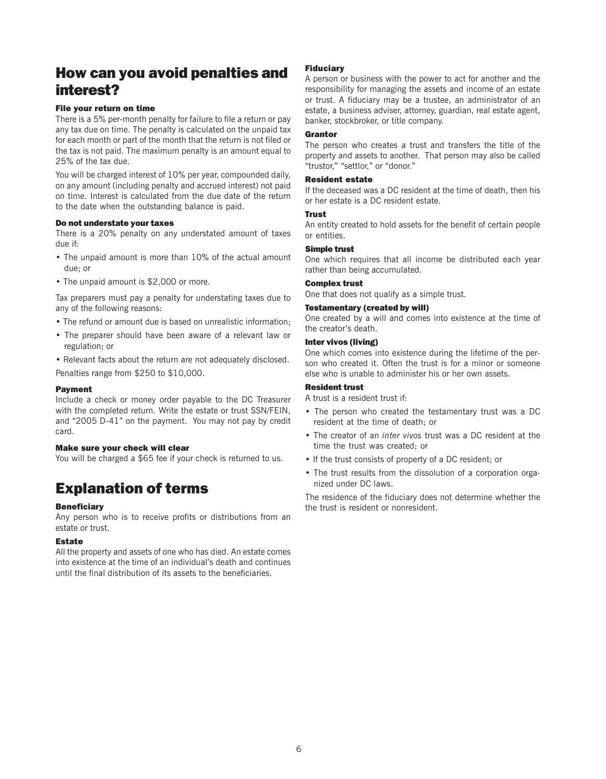## How can you avoid penalties and interest?

#### File your return on time

There is a 5% per-month penalty for failure to file a return or pay any tax due on time. The penalty is calculated on the unpaid tax for each month or part of the month that the return is not filed or the tax is not paid. The maximum penalty is an amount equal to 25% of the tax due.

You will be charged interest of 10% per year, compounded daily, on any amount (including penalty and accrued interest) not paid on time. Interest is calculated from the due date of the return to the date when the outstanding balance is paid.

#### Do not understate your taxes

There is a 20% penalty on any understated amount of taxes due if:

- The unpaid amount is more than 10% of the actual amount due; or
- The unpaid amount is \$2,000 or more.

Tax preparers must pay a penalty for understating taxes due to any of the following reasons:

- The refund or amount due is based on unrealistic information;
- The preparer should have been aware of a relevant law or regulation; or
- Relevant facts about the return are not adequately disclosed. Penalties range from \$250 to \$10,000.

#### Payment

Include a check or money order payable to the DC Treasurer with the completed return. Write the estate or trust SSN/FEIN, and "2005 D-41" on the payment. You may not pay by credit card.

#### Make sure your check will clear

You will be charged a \$65 fee if your check is returned to us.

# Explanation of terms

#### **Beneficiary**

Any person who is to receive profits or distributions from an estate or trust.

#### Estate

All the property and assets of one who has died. An estate comes into existence at the time of an individual's death and continues until the final distribution of its assets to the beneficiaries.

#### Fiduciary

A person or business with the power to act for another and the responsibility for managing the assets and income of an estate or trust. A fiduciary may be a trustee, an administrator of an estate, a business adviser, attorney, guardian, real estate agent, banker, stockbroker, or title company.

#### **Grantor**

The person who creates a trust and transfers the title of the property and assets to another. That person may also be called "trustor," "settlor," or "donor."

#### Resident estate

If the deceased was a DC resident at the time of death, then his or her estate is a DC resident estate.

#### Trust

An entity created to hold assets for the benefit of certain people or entities.

#### Simple trust

One which requires that all income be distributed each year rather than being accumulated.

#### Complex trust

One that does not qualify as a simple trust.

#### Testamentary (created by will)

One created by a will and comes into existence at the time of the creator's death.

#### Inter vivos (living)

One which comes into existence during the lifetime of the person who created it. Often the trust is for a minor or someone else who is unable to administer his or her own assets.

#### Resident trust

A trust is a resident trust if:

- The person who created the testamentary trust was a DC resident at the time of death; or
- The creator of an *inter vivos* trust was a DC resident at the time the trust was created; or
- If the trust consists of property of a DC resident; or
- The trust results from the dissolution of a corporation organized under DC laws.

The residence of the fiduciary does not determine whether the the trust is resident or nonresident.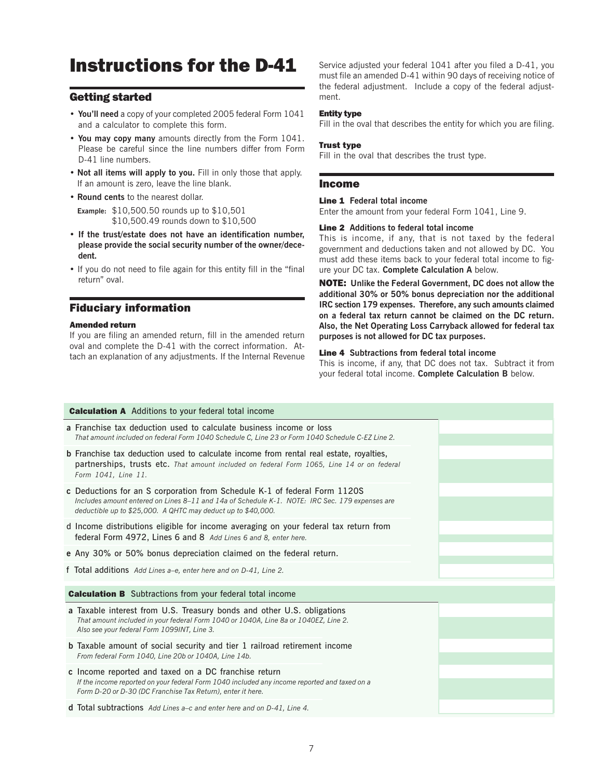# Instructions for the D-41

### Getting started

- **You'll need** a copy of your completed 2005 federal Form 1041 and a calculator to complete this form.
- **You may copy many** amounts directly from the Form 1041. Please be careful since the line numbers differ from Form D-41 line numbers.
- **Not all items will apply to you.** Fill in only those that apply. If an amount is zero, leave the line blank.
- **Round cents** to the nearest dollar.
	- **Example:** \$10,500.50 rounds up to \$10,501 \$10,500.49 rounds down to \$10,500
- **If the trust/estate does not have an identification number, please provide the social security number of the owner/decedent.**
- If you do not need to file again for this entity fill in the "final return" oval.

### Fiduciary information

#### Amended return

If you are filing an amended return, fill in the amended return oval and complete the D-41 with the correct information. Attach an explanation of any adjustments. If the Internal Revenue Service adjusted your federal 1041 after you filed a D-41, you must file an amended D-41 within 90 days of receiving notice of the federal adjustment. Include a copy of the federal adjustment.

#### Entity type

Fill in the oval that describes the entity for which you are filing.

#### Trust type

Fill in the oval that describes the trust type.

#### Income

#### Line 1 **Federal total income**

Enter the amount from your federal Form 1041, Line 9.

#### Line 2 **Additions to federal total income**

This is income, if any, that is not taxed by the federal government and deductions taken and not allowed by DC. You must add these items back to your federal total income to figure your DC tax. **Complete Calculation A** below.

NOTE: **Unlike the Federal Government, DC does not allow the additional 30% or 50% bonus depreciation nor the additional IRC section 179 expenses. Therefore, any such amounts claimed on a federal tax return cannot be claimed on the DC return. Also, the Net Operating Loss Carryback allowed for federal tax purposes is not allowed for DC tax purposes.**

#### Line 4 **Subtractions from federal total income**

This is income, if any, that DC does not tax. Subtract it from your federal total income. **Complete Calculation B** below.

| <b>Calculation A</b> Additions to your federal total income                                                                                                                                                                                 |
|---------------------------------------------------------------------------------------------------------------------------------------------------------------------------------------------------------------------------------------------|
| a Franchise tax deduction used to calculate business income or loss<br>That amount included on federal Form 1040 Schedule C, Line 23 or Form 1040 Schedule C-EZ Line 2.                                                                     |
| <b>b</b> Franchise tax deduction used to calculate income from rental real estate, royalties,<br>partnerships, trusts etc. That amount included on federal Form 1065, Line 14 or on federal<br>Form 1041, Line 11.                          |
| c Deductions for an S corporation from Schedule K-1 of federal Form 1120S<br>Includes amount entered on Lines 8-11 and 14a of Schedule K-1. NOTE: IRC Sec. 179 expenses are<br>deductible up to \$25,000. A QHTC may deduct up to \$40,000. |
| d Income distributions eligible for income averaging on your federal tax return from<br>federal Form 4972, Lines 6 and 8 Add Lines 6 and 8, enter here.                                                                                     |
| e Any 30% or 50% bonus depreciation claimed on the federal return.                                                                                                                                                                          |
| f Total additions Add Lines a-e, enter here and on D-41, Line 2.                                                                                                                                                                            |
| <b>Calculation B</b> Subtractions from your federal total income                                                                                                                                                                            |
| a Taxable interest from U.S. Treasury bonds and other U.S. obligations<br>That amount included in your federal Form 1040 or 1040A, Line 8a or 1040EZ, Line 2.<br>Also see your federal Form 1099INT, Line 3.                                |
| <b>b</b> Taxable amount of social security and tier 1 railroad retirement income<br>From federal Form 1040, Line 20b or 1040A, Line 14b.                                                                                                    |
| c Income reported and taxed on a DC franchise return<br>If the income reported on your federal Form 1040 included any income reported and taxed on a<br>Form D-20 or D-30 (DC Franchise Tax Return), enter it here.                         |
| <b>d</b> Total subtractions Add Lines a–c and enter here and on D-41, Line 4.                                                                                                                                                               |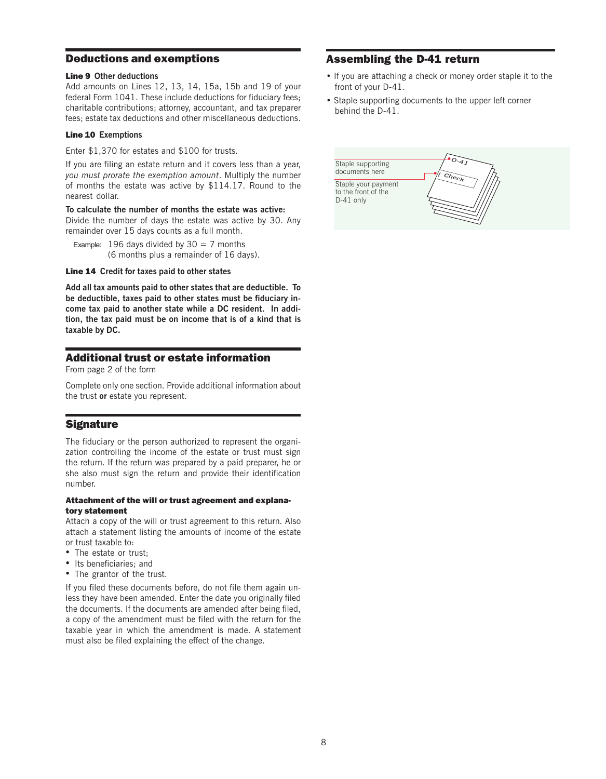#### Deductions and exemptions

#### Line 9 **Other deductions**

Add amounts on Lines 12, 13, 14, 15a, 15b and 19 of your federal Form 1041. These include deductions for fiduciary fees; charitable contributions; attorney, accountant, and tax preparer fees; estate tax deductions and other miscellaneous deductions.

#### Line 10 **Exemptions**

Enter \$1,370 for estates and \$100 for trusts.

If you are filing an estate return and it covers less than a year, *you must prorate the exemption amount*. Multiply the number of months the estate was active by \$114.17. Round to the nearest dollar.

#### **To calculate the number of months the estate was active:**

Divide the number of days the estate was active by 30. Any remainder over 15 days counts as a full month.

Example: 196 days divided by  $30 = 7$  months (6 months plus a remainder of 16 days).

Line 14 **Credit for taxes paid to other states**

**Add all tax amounts paid to other states that are deductible. To be deductible, taxes paid to other states must be fiduciary income tax paid to another state while a DC resident. In addition, the tax paid must be on income that is of a kind that is taxable by DC.**

## Additional trust or estate information

From page 2 of the form

Complete only one section. Provide additional information about the trust **or** estate you represent.

## **Signature**

The fiduciary or the person authorized to represent the organization controlling the income of the estate or trust must sign the return. If the return was prepared by a paid preparer, he or she also must sign the return and provide their identification number.

#### Attachment of the will or trust agreement and explanatory statement

Attach a copy of the will or trust agreement to this return. Also attach a statement listing the amounts of income of the estate or trust taxable to:

- The estate or trust;
- Its beneficiaries; and
- The grantor of the trust.

If you filed these documents before, do not file them again unless they have been amended. Enter the date you originally filed the documents. If the documents are amended after being filed, a copy of the amendment must be filed with the return for the taxable year in which the amendment is made. A statement must also be filed explaining the effect of the change.

## Assembling the D-41 return

- If you are attaching a check or money order staple it to the front of your D-41.
- Staple supporting documents to the upper left corner behind the D-41.

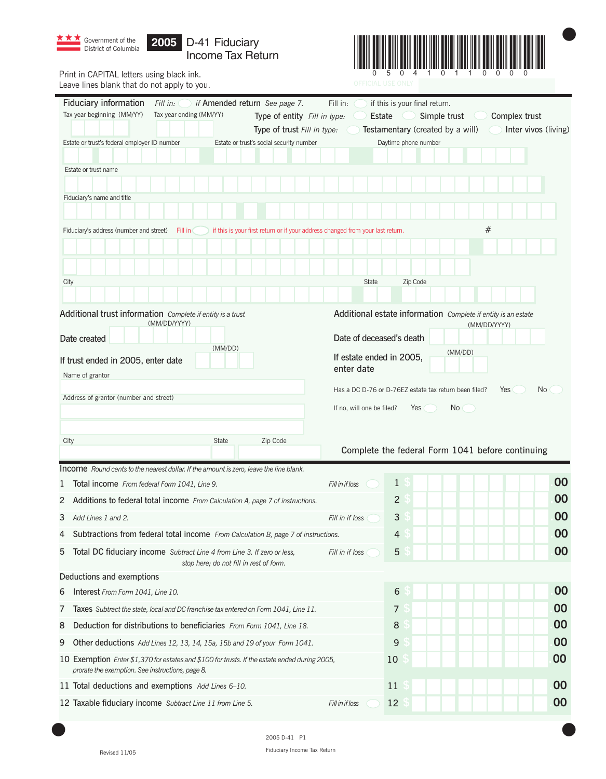| <b>**</b> Government of the <b>2005</b> D-41 Fiduciary<br>District of Columbia<br>Income Tax Return |                         |
|-----------------------------------------------------------------------------------------------------|-------------------------|
| frint in CAPITAL letters using black ink.                                                           | 0 5 0 4 1 0 1 1 0 0 0 0 |



 $\overline{\phantom{a}}$ 

Print in CAI Leave lines blank that do not apply to you.

| Fiduciary information<br>if Amended return See page 7.<br>Fill in:<br>Tax year beginning (MM/YY)<br>Tax year ending (MM/YY)                       | Fill in:<br>if this is your final return.<br>Type of entity Fill in type:<br>Simple trust<br>Complex trust<br>Estate<br>Testamentary (created by a will)<br>Inter vivos (living)<br>Type of trust Fill in type: |
|---------------------------------------------------------------------------------------------------------------------------------------------------|-----------------------------------------------------------------------------------------------------------------------------------------------------------------------------------------------------------------|
| Estate or trust's federal employer ID number<br>Estate or trust's social security number                                                          | Daytime phone number                                                                                                                                                                                            |
|                                                                                                                                                   |                                                                                                                                                                                                                 |
| Estate or trust name                                                                                                                              |                                                                                                                                                                                                                 |
|                                                                                                                                                   |                                                                                                                                                                                                                 |
| Fiduciary's name and title                                                                                                                        |                                                                                                                                                                                                                 |
|                                                                                                                                                   |                                                                                                                                                                                                                 |
| Fiduciary's address (number and street)<br>Fill in                                                                                                | #<br>if this is your first return or if your address changed from your last return.                                                                                                                             |
|                                                                                                                                                   |                                                                                                                                                                                                                 |
|                                                                                                                                                   |                                                                                                                                                                                                                 |
| City                                                                                                                                              | Zip Code<br><b>State</b>                                                                                                                                                                                        |
|                                                                                                                                                   |                                                                                                                                                                                                                 |
| Additional trust information Complete if entity is a trust<br>(MM/DD/YYYY)                                                                        | Additional estate information Complete if entity is an estate<br>(MM/DD/YYYY)                                                                                                                                   |
| Date created                                                                                                                                      | Date of deceased's death                                                                                                                                                                                        |
| (MM/DD)<br>If trust ended in 2005, enter date                                                                                                     | (MM/DD)<br>If estate ended in 2005,<br>enter date                                                                                                                                                               |
| Name of grantor                                                                                                                                   |                                                                                                                                                                                                                 |
| Address of grantor (number and street)                                                                                                            | No<br>Has a DC D-76 or D-76EZ estate tax return been filed?<br>Yes                                                                                                                                              |
|                                                                                                                                                   | If no, will one be filed?<br>Yes<br>No.                                                                                                                                                                         |
|                                                                                                                                                   |                                                                                                                                                                                                                 |
| Zip Code<br>City<br>State                                                                                                                         | Complete the federal Form 1041 before continuing                                                                                                                                                                |
| <b>Income</b> Round cents to the nearest dollar. If the amount is zero, leave the line blank.                                                     |                                                                                                                                                                                                                 |
| Total income From federal Form 1041, Line 9.<br>1                                                                                                 | 00<br>1<br>Fill in if loss                                                                                                                                                                                      |
| Additions to federal total income From Calculation A, page 7 of instructions.<br>2                                                                | 00<br>2                                                                                                                                                                                                         |
| 3.<br>Add Lines 1 and 2.                                                                                                                          | 00<br>3<br>Fill in if loss                                                                                                                                                                                      |
| Subtractions from federal total income From Calculation B, page 7 of instructions.<br>4                                                           | 00<br>4                                                                                                                                                                                                         |
| Total DC fiduciary income Subtract Line 4 from Line 3. If zero or less,<br>5                                                                      | 00<br>5<br>Fill in if loss                                                                                                                                                                                      |
| stop here; do not fill in rest of form.                                                                                                           |                                                                                                                                                                                                                 |
| Deductions and exemptions                                                                                                                         |                                                                                                                                                                                                                 |
| Interest From Form 1041, Line 10.<br>6                                                                                                            | 00<br>6                                                                                                                                                                                                         |
| 7<br><b>Taxes</b> Subtract the state, local and DC franchise tax entered on Form 1041, Line 11.                                                   | 00<br>7                                                                                                                                                                                                         |
| Deduction for distributions to beneficiaries From Form 1041, Line 18.<br>8                                                                        | 00<br>8                                                                                                                                                                                                         |
| 9<br>Other deductions Add Lines 12, 13, 14, 15a, 15b and 19 of your Form 1041.                                                                    | 00<br>$9$                                                                                                                                                                                                       |
| 10 Exemption Enter \$1,370 for estates and \$100 for trusts. If the estate ended during 2005,<br>prorate the exemption. See instructions, page 8. | 00<br>10                                                                                                                                                                                                        |
| 11 Total deductions and exemptions Add Lines 6-10.                                                                                                | 00<br>11                                                                                                                                                                                                        |
| 12 Taxable fiduciary income Subtract Line 11 from Line 5.                                                                                         | 00<br>12<br>Fill in if loss                                                                                                                                                                                     |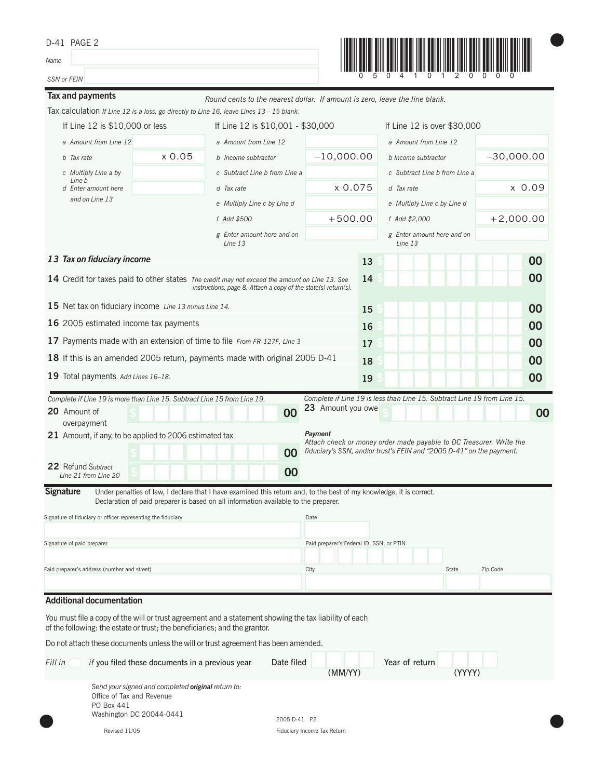| D-41 PAGE 2<br>Name                                                        |                                                    |                                                                                                                                                                                                            |                                          |    |                                                                                                                                             |               |  |  |  |  |
|----------------------------------------------------------------------------|----------------------------------------------------|------------------------------------------------------------------------------------------------------------------------------------------------------------------------------------------------------------|------------------------------------------|----|---------------------------------------------------------------------------------------------------------------------------------------------|---------------|--|--|--|--|
|                                                                            |                                                    |                                                                                                                                                                                                            |                                          |    |                                                                                                                                             |               |  |  |  |  |
| SSN or FEIN                                                                |                                                    |                                                                                                                                                                                                            |                                          |    |                                                                                                                                             |               |  |  |  |  |
| Tax and payments                                                           |                                                    | Round cents to the nearest dollar. If amount is zero, leave the line blank.                                                                                                                                |                                          |    |                                                                                                                                             |               |  |  |  |  |
|                                                                            |                                                    | Tax calculation If Line 12 is a loss, go directly to Line 16, leave Lines 13 - 15 blank.                                                                                                                   |                                          |    |                                                                                                                                             |               |  |  |  |  |
| If Line 12 is \$10,000 or less                                             |                                                    | If Line 12 is \$10,001 - \$30,000                                                                                                                                                                          |                                          |    | If Line 12 is over \$30,000                                                                                                                 |               |  |  |  |  |
| a Amount from Line 12<br>b Tax rate                                        | x0.05                                              | a Amount from Line 12<br>b Income subtractor                                                                                                                                                               | $-10,000.00$                             |    | a Amount from Line 12                                                                                                                       | $-30,000.00$  |  |  |  |  |
| c Multiply Line a by                                                       |                                                    | c Subtract Line b from Line a                                                                                                                                                                              |                                          |    | b Income subtractor<br>c Subtract Line b from Line a                                                                                        |               |  |  |  |  |
| Line b<br>d Enter amount here                                              |                                                    | d Tax rate                                                                                                                                                                                                 | x 0.075                                  |    | d Tax rate                                                                                                                                  | $\times$ 0.09 |  |  |  |  |
| and on Line 13                                                             |                                                    | e Multiply Line c by Line d                                                                                                                                                                                |                                          |    | e Multiply Line c by Line d                                                                                                                 |               |  |  |  |  |
|                                                                            |                                                    | f Add \$500                                                                                                                                                                                                | $+500.00$                                |    | f Add \$2,000                                                                                                                               | $+2,000.00$   |  |  |  |  |
|                                                                            |                                                    | g Enter amount here and on<br>Line 13                                                                                                                                                                      |                                          |    | g Enter amount here and on<br>Line 13                                                                                                       |               |  |  |  |  |
| 13 Tax on fiduciary income                                                 |                                                    |                                                                                                                                                                                                            |                                          | 13 |                                                                                                                                             | 00            |  |  |  |  |
|                                                                            |                                                    | 14 Credit for taxes paid to other states The credit may not exceed the amount on Line 13. See<br>instructions, page 8. Attach a copy of the state(s) return(s).                                            |                                          | 14 |                                                                                                                                             | 00            |  |  |  |  |
| 15 Net tax on fiduciary income Line 13 minus Line 14.                      |                                                    |                                                                                                                                                                                                            |                                          | 15 |                                                                                                                                             | 00            |  |  |  |  |
| 16 2005 estimated income tax payments                                      |                                                    |                                                                                                                                                                                                            |                                          | 16 |                                                                                                                                             | 00            |  |  |  |  |
|                                                                            |                                                    | 17 Payments made with an extension of time to file From FR-127F, Line 3                                                                                                                                    |                                          | 17 |                                                                                                                                             | 00            |  |  |  |  |
|                                                                            |                                                    | 18 If this is an amended 2005 return, payments made with original 2005 D-41                                                                                                                                |                                          |    |                                                                                                                                             | 00            |  |  |  |  |
|                                                                            |                                                    |                                                                                                                                                                                                            |                                          | 18 |                                                                                                                                             |               |  |  |  |  |
| 19 Total payments Add Lines 16-18.                                         |                                                    |                                                                                                                                                                                                            |                                          | 19 |                                                                                                                                             | 00            |  |  |  |  |
| Complete if Line 19 is more than Line 15. Subtract Line 15 from Line 19.   |                                                    |                                                                                                                                                                                                            |                                          |    | Complete if Line 19 is less than Line 15. Subtract Line 19 from Line 15.                                                                    |               |  |  |  |  |
| 20 Amount of<br>overpayment                                                |                                                    | 00                                                                                                                                                                                                         | 23 Amount you owe                        |    |                                                                                                                                             | 00            |  |  |  |  |
| 21 Amount, if any, to be applied to 2006 estimated tax                     |                                                    |                                                                                                                                                                                                            | Payment                                  |    |                                                                                                                                             |               |  |  |  |  |
|                                                                            |                                                    | 00                                                                                                                                                                                                         |                                          |    | Attach check or money order made payable to DC Treasurer. Write the<br>fiduciary's SSN, and/or trust's FEIN and "2005 D-41" on the payment. |               |  |  |  |  |
| 22 Refund Subtract                                                         |                                                    |                                                                                                                                                                                                            |                                          |    |                                                                                                                                             |               |  |  |  |  |
| Line 21 from Line 20                                                       |                                                    | 00                                                                                                                                                                                                         |                                          |    |                                                                                                                                             |               |  |  |  |  |
| <b>Signature</b>                                                           |                                                    | Under penalties of law, I declare that I have examined this return and, to the best of my knowledge, it is correct.<br>Declaration of paid preparer is based on all information available to the preparer. |                                          |    |                                                                                                                                             |               |  |  |  |  |
| Signature of fiduciary or officer representing the fiduciary               |                                                    |                                                                                                                                                                                                            | Date                                     |    |                                                                                                                                             |               |  |  |  |  |
|                                                                            |                                                    |                                                                                                                                                                                                            |                                          |    |                                                                                                                                             |               |  |  |  |  |
| Signature of paid preparer                                                 |                                                    |                                                                                                                                                                                                            | Paid preparer's Federal ID, SSN, or PTIN |    |                                                                                                                                             |               |  |  |  |  |
|                                                                            |                                                    |                                                                                                                                                                                                            |                                          |    |                                                                                                                                             |               |  |  |  |  |
| Paid preparer's address (number and street)                                |                                                    |                                                                                                                                                                                                            | City                                     |    | State                                                                                                                                       | Zip Code      |  |  |  |  |
|                                                                            |                                                    |                                                                                                                                                                                                            |                                          |    |                                                                                                                                             |               |  |  |  |  |
| <b>Additional documentation</b>                                            |                                                    |                                                                                                                                                                                                            |                                          |    |                                                                                                                                             |               |  |  |  |  |
| of the following: the estate or trust; the beneficiaries; and the grantor. |                                                    | You must file a copy of the will or trust agreement and a statement showing the tax liability of each                                                                                                      |                                          |    |                                                                                                                                             |               |  |  |  |  |
|                                                                            |                                                    | Do not attach these documents unless the will or trust agreement has been amended.                                                                                                                         |                                          |    |                                                                                                                                             |               |  |  |  |  |
| Fill in                                                                    | if you filed these documents in a previous year    | Date filed                                                                                                                                                                                                 | (MM/YY)                                  |    | Year of return<br>(YYYY)                                                                                                                    |               |  |  |  |  |
| Office of Tax and Revenue<br>PO Box 441                                    | Send your signed and completed original return to: |                                                                                                                                                                                                            |                                          |    |                                                                                                                                             |               |  |  |  |  |
|                                                                            | Washington DC 20044-0441                           | 2005 D-41 P2                                                                                                                                                                                               |                                          |    |                                                                                                                                             |               |  |  |  |  |
| Revised 11/05                                                              |                                                    |                                                                                                                                                                                                            | Fiduciary Income Tax Return              |    |                                                                                                                                             |               |  |  |  |  |

Fiduciary Income<sup>-</sup>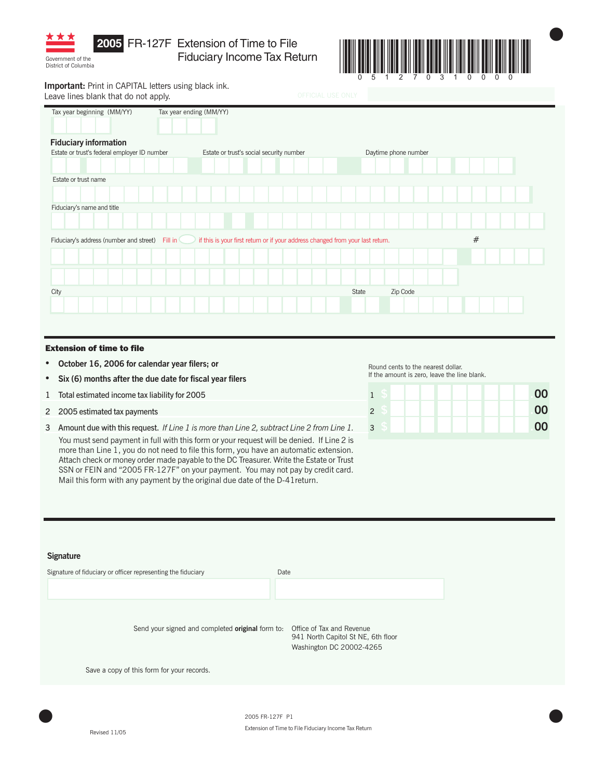

District of Columbia

**2005** FR-127F Extension of Time to File Fiduciary Income Tax Return



 $\bullet$ 

**Important:** Print in CAPITAL letters using black ink. Leave lines blank that do not apply.

| Tax year beginning (MM/YY)                   | Tax year ending (MM/YY)                                                        |                                          |  |  |  |       |  |                      |   |  |  |  |
|----------------------------------------------|--------------------------------------------------------------------------------|------------------------------------------|--|--|--|-------|--|----------------------|---|--|--|--|
|                                              |                                                                                |                                          |  |  |  |       |  |                      |   |  |  |  |
|                                              |                                                                                |                                          |  |  |  |       |  |                      |   |  |  |  |
| <b>Fiduciary information</b>                 |                                                                                |                                          |  |  |  |       |  |                      |   |  |  |  |
| Estate or trust's federal employer ID number |                                                                                | Estate or trust's social security number |  |  |  |       |  | Daytime phone number |   |  |  |  |
|                                              |                                                                                |                                          |  |  |  |       |  |                      |   |  |  |  |
| Estate or trust name                         |                                                                                |                                          |  |  |  |       |  |                      |   |  |  |  |
|                                              |                                                                                |                                          |  |  |  |       |  |                      |   |  |  |  |
|                                              |                                                                                |                                          |  |  |  |       |  |                      |   |  |  |  |
| Fiduciary's name and title                   |                                                                                |                                          |  |  |  |       |  |                      |   |  |  |  |
|                                              |                                                                                |                                          |  |  |  |       |  |                      |   |  |  |  |
| Fiduciary's address (number and street)      | if this is your first return or if your address changed from your last return. |                                          |  |  |  |       |  |                      | # |  |  |  |
|                                              |                                                                                |                                          |  |  |  |       |  |                      |   |  |  |  |
|                                              |                                                                                |                                          |  |  |  |       |  |                      |   |  |  |  |
|                                              |                                                                                |                                          |  |  |  |       |  |                      |   |  |  |  |
| City                                         |                                                                                |                                          |  |  |  | State |  | Zip Code             |   |  |  |  |
|                                              |                                                                                |                                          |  |  |  |       |  |                      |   |  |  |  |
|                                              |                                                                                |                                          |  |  |  |       |  |                      |   |  |  |  |

#### Extension of time to file

- **October 16, 2006 for calendar year filers; or**
- **Six (6) months after the due date for fiscal year filers**
- 1 Total estimated income tax liability for 2005
- 2 2005 estimated tax payments
- 3 Amount due with this request. *If Line 1 is more than Line 2, subtract Line 2 from Line 1.*

You must send payment in full with this form or your request will be denied. If Line 2 is more than Line 1, you do not need to file this form, you have an automatic extension. Attach check or money order made payable to the DC Treasurer. Write the Estate or Trust SSN or FEIN and "2005 FR-127F" on your payment. You may not pay by credit card. Mail this form with any payment by the original due date of the D-41return.

Round cents to the nearest dollar. If the amount is zero, leave the line blank.

|                |  | 00 |
|----------------|--|----|
| $\overline{2}$ |  | 00 |
| $\overline{3}$ |  | 00 |

#### **Signature**

| Signature of fiduciary or officer representing the fiduciary                      | Date                                                           |
|-----------------------------------------------------------------------------------|----------------------------------------------------------------|
|                                                                                   |                                                                |
| Send your signed and completed <b>original</b> form to: Office of Tax and Revenue | 941 North Capitol St NE, 6th floor<br>Washington DC 20002-4265 |
| Save a copy of this form for your records.                                        |                                                                |
|                                                                                   |                                                                |

2005 FR-127F P1 Extension of Time to File Fiduciary Income Tax Return  $2005$  FR-127F  $P1$ 

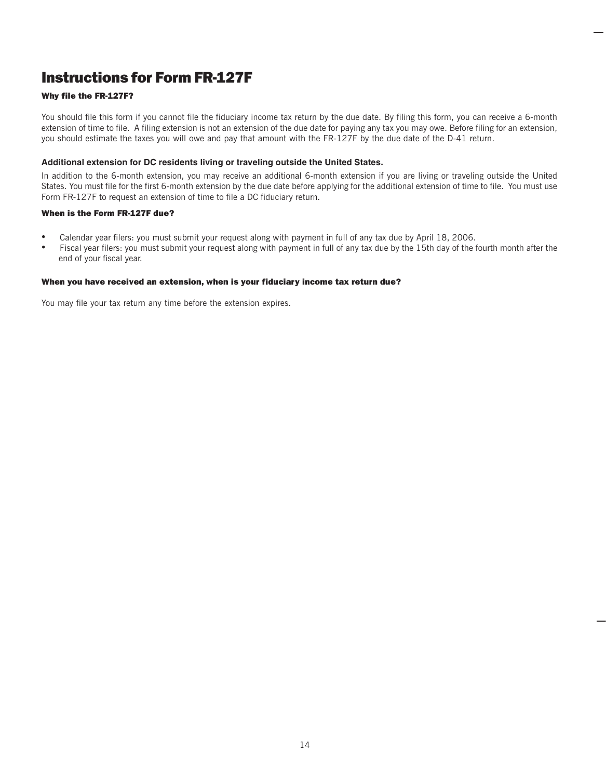# Instructions for Form FR-127F

#### Why file the FR-127F?

You should file this form if you cannot file the fiduciary income tax return by the due date. By filing this form, you can receive a 6-month extension of time to file. A filing extension is not an extension of the due date for paying any tax you may owe. Before filing for an extension, you should estimate the taxes you will owe and pay that amount with the FR-127F by the due date of the D-41 return.

#### **Additional extension for DC residents living or traveling outside the United States.**

In addition to the 6-month extension, you may receive an additional 6-month extension if you are living or traveling outside the United States. You must file for the first 6-month extension by the due date before applying for the additional extension of time to file. You must use Form FR-127F to request an extension of time to file a DC fiduciary return.

#### When is the Form FR-127F due?

- Calendar year filers: you must submit your request along with payment in full of any tax due by April 18, 2006.<br>• Fiscal year filers: you must submit your request along with payment in full of any tax due by the 15th day
- Fiscal year filers: you must submit your request along with payment in full of any tax due by the 15th day of the fourth month after the end of your fiscal year.

#### When you have received an extension, when is your fiduciary income tax return due?

You may file your tax return any time before the extension expires.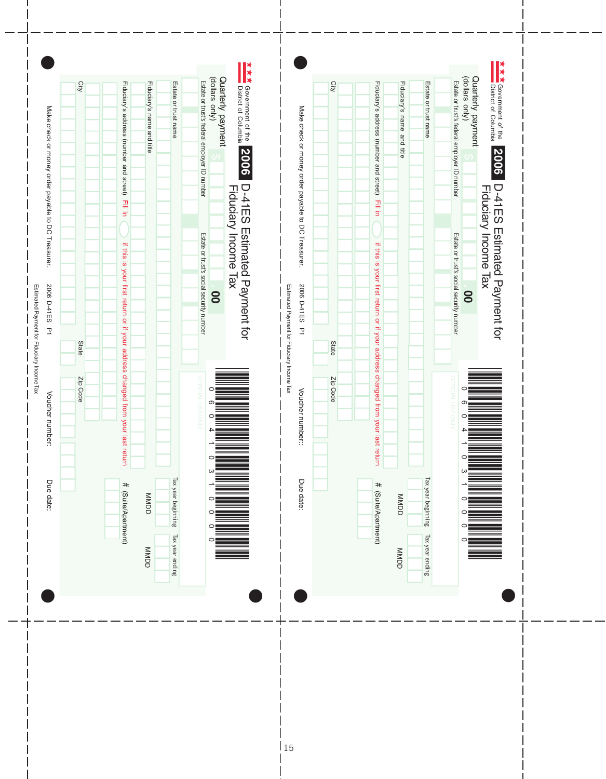Make check or money order payable to DC Treasurer. 2006 D-41ES P1 Voucher number. Due date: Make check or money order payable to DC Treasurer. 2006 D-41ES P1 Voucher number: Due date: **\* \* \*** Government of the **\* \* \*** Government of the Quarterly payment<br>(dollars only) (Vino sasllob) Quarterly payment (dollars only) Quarterly payment (dollars only) Quarterly payment Estate or trust's federal employer ID number Estate or trust's federal employer ID number **Qity** City Fiduciary's name and title Estate or trust name Fiduciary's address (number and street) Estate or trust name City State Zip Code Fiduciary's address (number and street) Fiduciary's address (number and street) Fiduciary's name and title Estate or trust name Estate or trust City State Zip Code Fiduciary's address (number and street)Fiduciary's name and title Fiduciary's name and title Estate or trust name Estate or trust exerement of the **2006** D-41ES Estimated Payment for<br>District of Columbia **Propose D-41ES Estimated Payment for the Film of Tax Propose Tax Section of the Figure S**<br>Jackson payment strip of the Fiduciary Income Tax **of the**  \*060410310000\* District of Columbia Government of the Fiduciary Income Tax Make check or money order payable to DC Treasurer. Make check or money order payable to DC Treasurer. Nake check or money order payable to DC Treasurer.  $2006$  D-41ES  $71$ Voucher number:: Due date: Due date: Make check or money order payable to DC Treasurer. 2006 D-41ES T s federal employer ID number Estate or trust ' s federal employer ID number Estate or trust ' **20062006**D-41ES Estimated Payment for D-41ES Estimated Payment for D-41ES Estimated Payment for<br>Fiduciary Income Tax D-41ES Estimated Payment for Fiduciary Income Tax  $\overline{\phantom{a}}$ Fill in in if this is your first return or if your address changed from your last return  $\sim$  in the interval return or  $\sim$ Fill in Fill in in if this is your first return or if your address changed from your last return or if  $\mathbf{r}$  if  $\mathbf{r}$  in  $\mathbf{r}$ Fill in I Estate or trust's social security number Estate or trust's social security number if this is your first return or if your address changed from your last return if this is your first return or if your address changed from your s social security number ' s social security number ' Estimated Payment for Fiduciary Income Tax 2006 D-41ES P1 2006 D-41ES P1 Estimated Payment for Fiduciary Income Tax 2006 D-41ES P1 Estimated P 2006 D-41ES P1 Estimated P  $\overline{\phantom{a}}$ **. 00 . 00** I  $\overline{\phantom{a}}$ ayment for Fiduciary Income Tax ayment for Fiduciary Income Tax I  $\overline{\phantom{a}}$ State State I Zip Code Zip Code  $\overline{\phantom{a}}$ Voucher number:: Voucher number: last return Tax year beginning Tax year beginning Tax year ending Tax year beginning Tax year beginning Tax year ending Due date: Due date: # (Suite/Apartment) # (Suite/Apartment) MMDD MMDD MMDD MMDD MMDD MMDD MARIA MMDD MMDD MMDD MMDD (Suite/Apartment) **UNNDD** (Suite/Apartment) Tax year ending Tax year ending MMDD **UNNDD**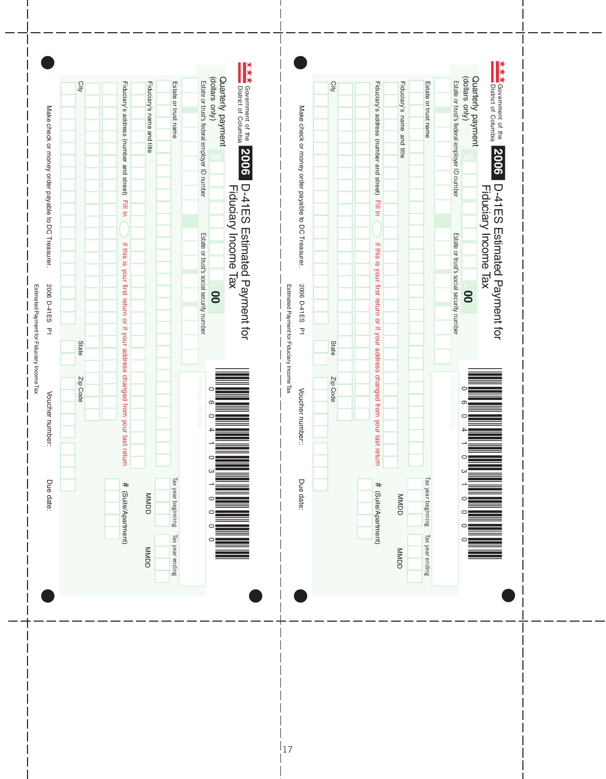Make check or money order payable to DC Treasurer. 2006 D-41ES P1 Voucher number. Due date: Make check or money order payable to DC Treasurer. 2006 D-41ES P1 Voucher number: Due date: **\* \* \*** Government of the **\* \* \*** Government of the Quarterly payment<br>(dollars only) (Vino sasllob) Quarterly payment (dollars only) Quarterly payment (dollars only) Quarterly payment Estate or trust's federal employer ID number Estate or trust's federal employer ID number **Qity** Estate or trust name City Fiduciary's name and title Fiduciary's address (number and street) Estate or trust name City State Zip Code Fiduciary's address (number and street) Fiduciary's address (number and street) Fiduciary's name and title Estate or trust name Estate or trust City State Zip Code Fiduciary's address (number and street) Fiduciary's name and title Fiduciary's name and title Estate or trust name Estate or trust exerement of the **2006** D-41ES Estimated Payment for<br>District of Columbia **Propose D-41ES Estimated Payment for the Film of Tax Propose Tax Section of the Figure S**<br>Jackson payment strip of the Fiduciary Income Tax **of the**  \*060410310000\* District of Columbia Government of the Fiduciary Income Tax Make check or money order payable to DC Treasurer. Make check or money order payable to DC Treasurer. Nake check or money order payable to DC Treasurer.  $2006$  D-41ES  $71$ Voucher number:: Due date: Due date: Make check or money order payable to DC Treasurer. 2006 D-41ES P s federal employer ID number Estate or trust ' s federal employer ID number Estate or trust ' **20062006**D-41ES Estimated Payment for D-41ES Estimated Payment for D-41ES Estimated Payment for<br>Fiduciary Income Tax D-41ES Estimated Payment for Fiduciary Income Tax  $\overline{\phantom{a}}$ Fill in in if this is your first return or if your address changed from your last return  $\sim$  in the interval return or  $\sim$ Fill in Fill in in if this is your first return or if your address changed from your last return or if  $\mathbf{r}$  if  $\mathbf{r}$  in  $\mathbf{r}$ Fill in I Estate or trust's social security number Estate or trust's social security number if this is your first return or if your address changed from your if this is your first return or if your address changed from your last return s social security number ' s social security number ' Estimated Payment for Fiduciary Income Tax 2006 D-41ES P1 2006 D-41ES P1 Estimated Payment for Fiduciary Income Tax 2006 D-41ES P1 Estimated P 2006 D-41ES P1 Estimated P  $\overline{\phantom{a}}$ **. 00 . 00** I  $\overline{\phantom{a}}$ ayment for Fiduciary Income Tax ayment for Fiduciary Income Tax I  $\overline{\phantom{a}}$ State State I Zip Code Zip Code  $\overline{\phantom{a}}$ Voucher number:: Voucher number: I last return Tax year beginning Tax year beginning Tax year ending Tax year beginning Tax year beginning Tax year ending Due date: Due date: # (Suite/Apartment) # (Suite/Apartment) MMDD MMDD MMDD MMDD MMDD MMDD (Suite/Apartment) **UNNDD** (Suite/Apartment) Tax year ending Tax year ending **UNNDD UNNDD**